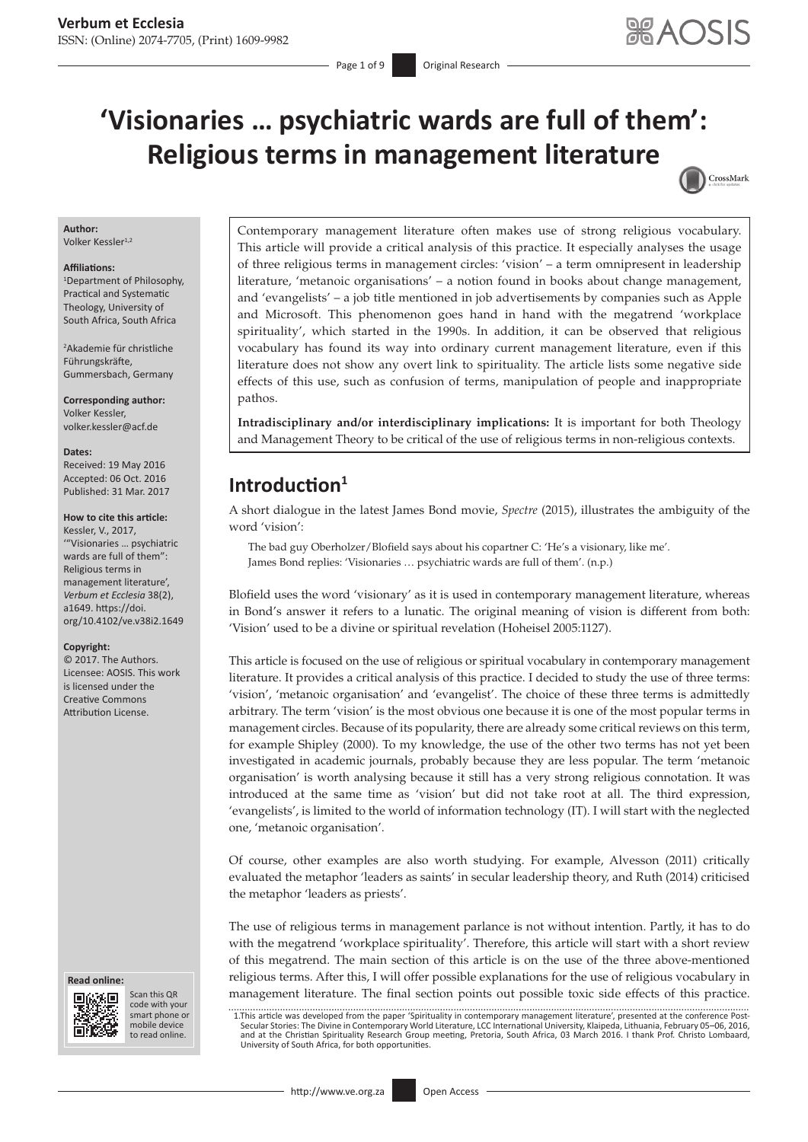CrossMark

# **'Visionaries … psychiatric wards are full of them': Religious terms in management literature**

### **Author:**

Volker Kessler<sup>1,2</sup>

#### **Affiliations:**

1 Department of Philosophy, Practical and Systematic Theology, University of South Africa, South Africa

2 Akademie für christliche Führungskräfte, Gummersbach, Germany

**Corresponding author:** Volker Kessler, [volker.kessler@acf.de](mailto:volker.kessler@acf.de)

#### **Dates:**

Received: 19 May 2016 Accepted: 06 Oct. 2016 Published: 31 Mar. 2017

#### **How to cite this article:**

Kessler, V., 2017, '"Visionaries … psychiatric wards are full of them": Religious terms in management literature', *Verbum et Ecclesia* 38(2), a1649. [https://doi.](https://doi.org/10.4102/ve.v38i2.1649) [org/10.4102/ve.v38i2.1649](https://doi.org/10.4102/ve.v38i2.1649)

#### **Copyright:**

© 2017. The Authors. Licensee: AOSIS. This work is licensed under the Creative Commons Attribution License.





Scan this QR code with your Scan this QR<br>code with your<br>smart phone or<br>mobile device mobile device to read online. to read online.

Contemporary management literature often makes use of strong religious vocabulary. This article will provide a critical analysis of this practice. It especially analyses the usage of three religious terms in management circles: 'vision' – a term omnipresent in leadership literature, 'metanoic organisations' – a notion found in books about change management, and 'evangelists' – a job title mentioned in job advertisements by companies such as Apple and Microsoft. This phenomenon goes hand in hand with the megatrend 'workplace spirituality', which started in the 1990s. In addition, it can be observed that religious vocabulary has found its way into ordinary current management literature, even if this literature does not show any overt link to spirituality. The article lists some negative side effects of this use, such as confusion of terms, manipulation of people and inappropriate pathos.

**Intradisciplinary and/or interdisciplinary implications:** It is important for both Theology and Management Theory to be critical of the use of religious terms in non-religious contexts.

# **Introduction<sup>1</sup>**

A short dialogue in the latest James Bond movie, *Spectre* (2015), illustrates the ambiguity of the word 'vision':

The bad guy Oberholzer/Blofield says about his copartner C: 'He's a visionary, like me'. James Bond replies: 'Visionaries … psychiatric wards are full of them'. (n.p.)

Blofield uses the word 'visionary' as it is used in contemporary management literature, whereas in Bond's answer it refers to a lunatic. The original meaning of vision is different from both: 'Vision' used to be a divine or spiritual revelation (Hoheisel 2005:1127).

This article is focused on the use of religious or spiritual vocabulary in contemporary management literature. It provides a critical analysis of this practice. I decided to study the use of three terms: 'vision', 'metanoic organisation' and 'evangelist'. The choice of these three terms is admittedly arbitrary. The term 'vision' is the most obvious one because it is one of the most popular terms in management circles. Because of its popularity, there are already some critical reviews on this term, for example Shipley (2000). To my knowledge, the use of the other two terms has not yet been investigated in academic journals, probably because they are less popular. The term 'metanoic organisation' is worth analysing because it still has a very strong religious connotation. It was introduced at the same time as 'vision' but did not take root at all. The third expression, 'evangelists', is limited to the world of information technology (IT). I will start with the neglected one, 'metanoic organisation'.

Of course, other examples are also worth studying. For example, Alvesson (2011) critically evaluated the metaphor 'leaders as saints' in secular leadership theory, and Ruth (2014) criticised the metaphor 'leaders as priests'.

The use of religious terms in management parlance is not without intention. Partly, it has to do with the megatrend 'workplace spirituality'. Therefore, this article will start with a short review of this megatrend. The main section of this article is on the use of the three above-mentioned religious terms. After this, I will offer possible explanations for the use of religious vocabulary in management literature. The final section points out possible toxic side effects of this practice.

 1.This article was developed from the paper 'Spirituality in contemporary management literature', presented at the conference Post-Secular Stories: The Divine in Contemporary World Literature, LCC International University, Klaipeda, Lithuania, February 05–06, 2016,<br>and at the Christian Spirituality Research Group meeting, Pretoria, South Africa, 03 Ma University of South Africa, for both opportunities.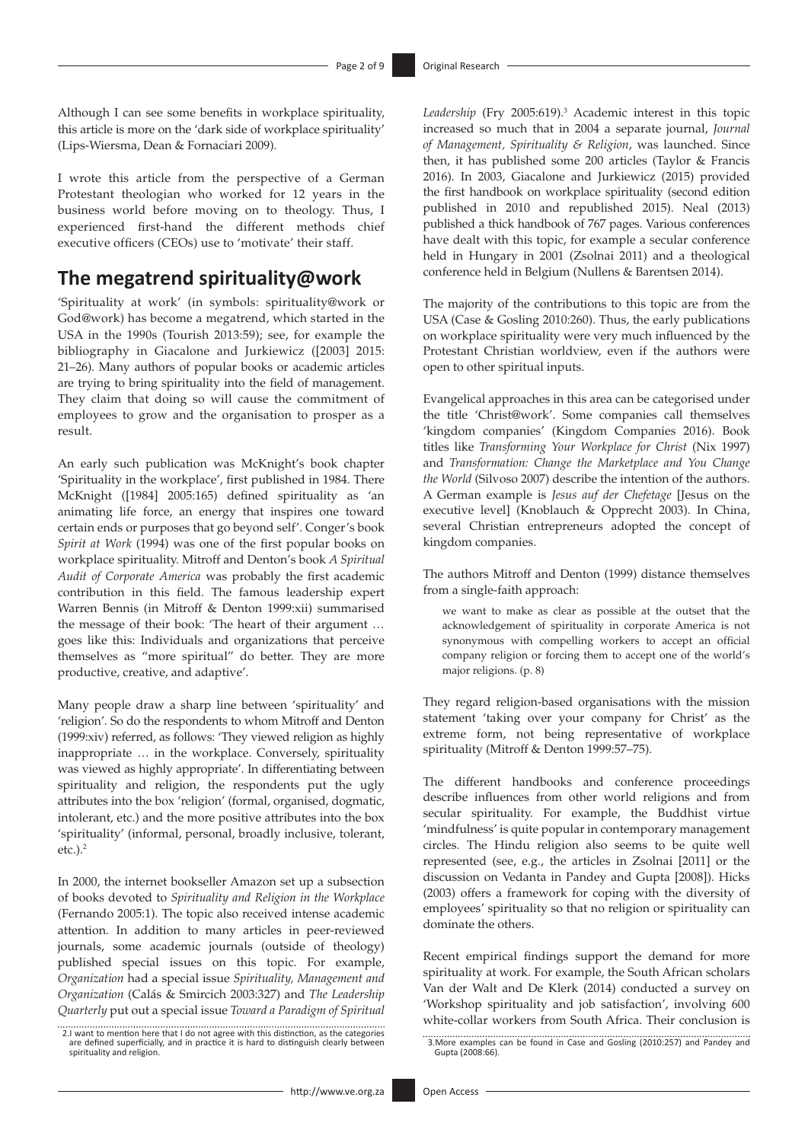Although I can see some benefits in workplace spirituality, this article is more on the 'dark side of workplace spirituality' (Lips-Wiersma, Dean & Fornaciari 2009).

I wrote this article from the perspective of a German Protestant theologian who worked for 12 years in the business world before moving on to theology. Thus, I experienced first-hand the different methods chief executive officers (CEOs) use to 'motivate' their staff.

### **The megatrend spirituality@work**

'Spirituality at work' (in symbols: spirituality@work or God@work) has become a megatrend, which started in the USA in the 1990s (Tourish 2013:59); see, for example the bibliography in Giacalone and Jurkiewicz ([2003] 2015: 21–26). Many authors of popular books or academic articles are trying to bring spirituality into the field of management. They claim that doing so will cause the commitment of employees to grow and the organisation to prosper as a result.

An early such publication was McKnight's book chapter 'Spirituality in the workplace', first published in 1984. There McKnight ([1984] 2005:165) defined spirituality as 'an animating life force, an energy that inspires one toward certain ends or purposes that go beyond self'. Conger's book *Spirit at Work* (1994) was one of the first popular books on workplace spirituality. Mitroff and Denton's book *A Spiritual Audit of Corporate America* was probably the first academic contribution in this field. The famous leadership expert Warren Bennis (in Mitroff & Denton 1999:xii) summarised the message of their book: 'The heart of their argument … goes like this: Individuals and organizations that perceive themselves as "more spiritual" do better. They are more productive, creative, and adaptive'.

Many people draw a sharp line between 'spirituality' and 'religion'. So do the respondents to whom Mitroff and Denton (1999:xiv) referred, as follows: 'They viewed religion as highly inappropriate … in the workplace. Conversely, spirituality was viewed as highly appropriate'. In differentiating between spirituality and religion, the respondents put the ugly attributes into the box 'religion' (formal, organised, dogmatic, intolerant, etc.) and the more positive attributes into the box 'spirituality' (informal, personal, broadly inclusive, tolerant,  $etc.).<sup>2</sup>$ 

In 2000, the internet bookseller Amazon set up a subsection of books devoted to *Spirituality and Religion in the Workplace* (Fernando 2005:1). The topic also received intense academic attention. In addition to many articles in peer-reviewed journals, some academic journals (outside of theology) published special issues on this topic. For example, *Organization* had a special issue *Spirituality, Management and Organization* (Calás & Smircich 2003:327) and *The Leadership Quarterly* put out a special issue *Toward a Paradigm of Spiritual* 

 2.I want to mention here that I do not agree with this distinction, as the categories are defined superficially, and in practice it is hard to distinguish clearly between spirituality and religion.

Leadership (Fry 2005:619).<sup>3</sup> Academic interest in this topic increased so much that in 2004 a separate journal, *Journal of Management, Spirituality & Religion*, was launched. Since then, it has published some 200 articles (Taylor & Francis 2016). In 2003, Giacalone and Jurkiewicz (2015) provided the first handbook on workplace spirituality (second edition published in 2010 and republished 2015). Neal (2013) published a thick handbook of 767 pages. Various conferences have dealt with this topic, for example a secular conference held in Hungary in 2001 (Zsolnai 2011) and a theological conference held in Belgium (Nullens & Barentsen 2014).

The majority of the contributions to this topic are from the USA (Case & Gosling 2010:260). Thus, the early publications on workplace spirituality were very much influenced by the Protestant Christian worldview, even if the authors were open to other spiritual inputs.

Evangelical approaches in this area can be categorised under the title 'Christ@work'. Some companies call themselves 'kingdom companies' (Kingdom Companies 2016). Book titles like *Transforming Your Workplace for Christ* (Nix 1997) and *Transformation: Change the Marketplace and You Change the World* (Silvoso 2007) describe the intention of the authors. A German example is *Jesus auf der Chefetage* [Jesus on the executive level] (Knoblauch & Opprecht 2003). In China, several Christian entrepreneurs adopted the concept of kingdom companies.

The authors Mitroff and Denton (1999) distance themselves from a single-faith approach:

we want to make as clear as possible at the outset that the acknowledgement of spirituality in corporate America is not synonymous with compelling workers to accept an official company religion or forcing them to accept one of the world's major religions. (p. 8)

They regard religion-based organisations with the mission statement 'taking over your company for Christ' as the extreme form, not being representative of workplace spirituality (Mitroff & Denton 1999:57–75).

The different handbooks and conference proceedings describe influences from other world religions and from secular spirituality. For example, the Buddhist virtue 'mindfulness' is quite popular in contemporary management circles. The Hindu religion also seems to be quite well represented (see, e.g., the articles in Zsolnai [2011] or the discussion on Vedanta in Pandey and Gupta [2008]). Hicks (2003) offers a framework for coping with the diversity of employees' spirituality so that no religion or spirituality can dominate the others.

Recent empirical findings support the demand for more spirituality at work. For example, the South African scholars Van der Walt and De Klerk (2014) conducted a survey on 'Workshop spirituality and job satisfaction', involving 600 white-collar workers from South Africa. Their conclusion is

 <sup>3.</sup>More examples can be found in Case and Gosling (2010:257) and Pandey and Gupta (2008:66).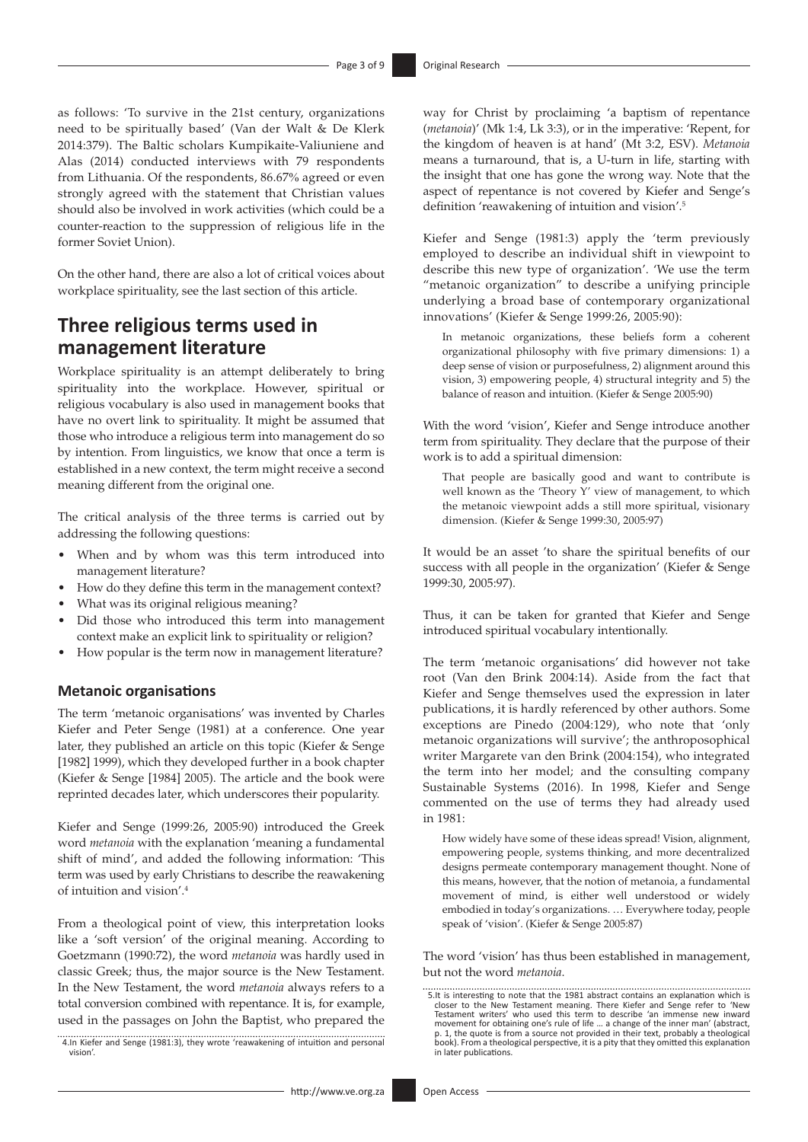as follows: 'To survive in the 21st century, organizations need to be spiritually based' (Van der Walt & De Klerk 2014:379). The Baltic scholars Kumpikaite-Valiuniene and Alas (2014) conducted interviews with 79 respondents from Lithuania. Of the respondents, 86.67% agreed or even strongly agreed with the statement that Christian values should also be involved in work activities (which could be a counter-reaction to the suppression of religious life in the former Soviet Union).

On the other hand, there are also a lot of critical voices about workplace spirituality, see the last section of this article.

# **Three religious terms used in management literature**

Workplace spirituality is an attempt deliberately to bring spirituality into the workplace. However, spiritual or religious vocabulary is also used in management books that have no overt link to spirituality. It might be assumed that those who introduce a religious term into management do so by intention. From linguistics, we know that once a term is established in a new context, the term might receive a second meaning different from the original one.

The critical analysis of the three terms is carried out by addressing the following questions:

- When and by whom was this term introduced into management literature?
- How do they define this term in the management context?
- What was its original religious meaning?
- Did those who introduced this term into management context make an explicit link to spirituality or religion?
- How popular is the term now in management literature?

### **Metanoic organisations**

The term 'metanoic organisations' was invented by Charles Kiefer and Peter Senge (1981) at a conference. One year later, they published an article on this topic (Kiefer & Senge [1982] 1999), which they developed further in a book chapter (Kiefer & Senge [1984] 2005). The article and the book were reprinted decades later, which underscores their popularity.

Kiefer and Senge (1999:26, 2005:90) introduced the Greek word *metanoia* with the explanation 'meaning a fundamental shift of mind', and added the following information: 'This term was used by early Christians to describe the reawakening of intuition and vision'.4

From a theological point of view, this interpretation looks like a 'soft version' of the original meaning. According to Goetzmann (1990:72), the word *metanoia* was hardly used in classic Greek; thus, the major source is the New Testament. In the New Testament, the word *metanoia* always refers to a total conversion combined with repentance. It is, for example, used in the passages on John the Baptist, who prepared the

 4.In Kiefer and Senge (1981:3), they wrote 'reawakening of intuition and personal vision'.

way for Christ by proclaiming 'a baptism of repentance (*metanoia*)' (Mk 1:4, Lk 3:3), or in the imperative: 'Repent, for the kingdom of heaven is at hand' (Mt 3:2, ESV). *Metanoia* means a turnaround, that is, a U-turn in life, starting with the insight that one has gone the wrong way. Note that the aspect of repentance is not covered by Kiefer and Senge's definition 'reawakening of intuition and vision'.5

Kiefer and Senge (1981:3) apply the 'term previously employed to describe an individual shift in viewpoint to describe this new type of organization'. 'We use the term "metanoic organization" to describe a unifying principle underlying a broad base of contemporary organizational innovations' (Kiefer & Senge 1999:26, 2005:90):

In metanoic organizations, these beliefs form a coherent organizational philosophy with five primary dimensions: 1) a deep sense of vision or purposefulness, 2) alignment around this vision, 3) empowering people, 4) structural integrity and 5) the balance of reason and intuition. (Kiefer & Senge 2005:90)

With the word 'vision', Kiefer and Senge introduce another term from spirituality. They declare that the purpose of their work is to add a spiritual dimension:

That people are basically good and want to contribute is well known as the 'Theory Y' view of management, to which the metanoic viewpoint adds a still more spiritual, visionary dimension. (Kiefer & Senge 1999:30, 2005:97)

It would be an asset 'to share the spiritual benefits of our success with all people in the organization' (Kiefer & Senge 1999:30, 2005:97).

Thus, it can be taken for granted that Kiefer and Senge introduced spiritual vocabulary intentionally.

The term 'metanoic organisations' did however not take root (Van den Brink 2004:14). Aside from the fact that Kiefer and Senge themselves used the expression in later publications, it is hardly referenced by other authors. Some exceptions are Pinedo (2004:129), who note that 'only metanoic organizations will survive'; the anthroposophical writer Margarete van den Brink (2004:154), who integrated the term into her model; and the consulting company Sustainable Systems (2016). In 1998, Kiefer and Senge commented on the use of terms they had already used in 1981:

How widely have some of these ideas spread! Vision, alignment, empowering people, systems thinking, and more decentralized designs permeate contemporary management thought. None of this means, however, that the notion of metanoia, a fundamental movement of mind, is either well understood or widely embodied in today's organizations. … Everywhere today, people speak of 'vision'. (Kiefer & Senge 2005:87)

The word 'vision' has thus been established in management, but not the word *metanoia*.

 <sup>5.</sup>It is interesting to note that the 1981 abstract contains an explanation which is closer to the New Testament meaning. There Kiefer and Senge refer to 'New Testament writers' who used this term to describe 'an immense new inward<br>movement for obtaining one's rule of life ... a change of the inner man' (abstract,<br>p. 1, the quote is from a source not provided in their text, prob in later publications.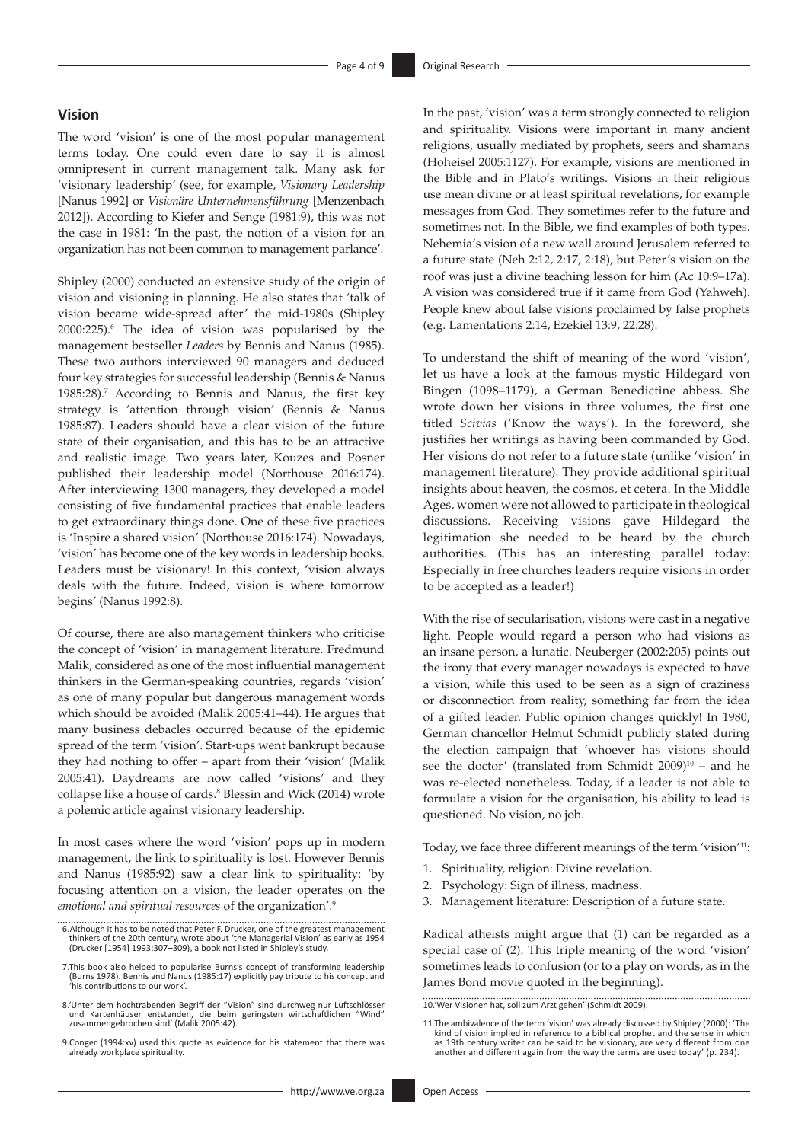### **Vision**

The word 'vision' is one of the most popular management terms today. One could even dare to say it is almost omnipresent in current management talk. Many ask for 'visionary leadership' (see, for example, *Visionary Leadership* [Nanus 1992] or *Visionäre Unternehmensführung* [Menzenbach 2012]). According to Kiefer and Senge (1981:9), this was not the case in 1981: 'In the past, the notion of a vision for an organization has not been common to management parlance'.

Shipley (2000) conducted an extensive study of the origin of vision and visioning in planning. He also states that 'talk of vision became wide-spread after' the mid-1980s (Shipley 2000:225).<sup>6</sup> The idea of vision was popularised by the management bestseller *Leaders* by Bennis and Nanus (1985). These two authors interviewed 90 managers and deduced four key strategies for successful leadership (Bennis & Nanus 1985:28).7 According to Bennis and Nanus, the first key strategy is 'attention through vision' (Bennis & Nanus 1985:87). Leaders should have a clear vision of the future state of their organisation, and this has to be an attractive and realistic image. Two years later, Kouzes and Posner published their leadership model (Northouse 2016:174). After interviewing 1300 managers, they developed a model consisting of five fundamental practices that enable leaders to get extraordinary things done. One of these five practices is 'Inspire a shared vision' (Northouse 2016:174). Nowadays, 'vision' has become one of the key words in leadership books. Leaders must be visionary! In this context, 'vision always deals with the future. Indeed, vision is where tomorrow begins' (Nanus 1992:8).

Of course, there are also management thinkers who criticise the concept of 'vision' in management literature. Fredmund Malik, considered as one of the most influential management thinkers in the German-speaking countries, regards 'vision' as one of many popular but dangerous management words which should be avoided (Malik 2005:41–44). He argues that many business debacles occurred because of the epidemic spread of the term 'vision'. Start-ups went bankrupt because they had nothing to offer – apart from their 'vision' (Malik 2005:41). Daydreams are now called 'visions' and they collapse like a house of cards.<sup>8</sup> Blessin and Wick (2014) wrote a polemic article against visionary leadership.

In most cases where the word 'vision' pops up in modern management, the link to spirituality is lost. However Bennis and Nanus (1985:92) saw a clear link to spirituality: 'by focusing attention on a vision, the leader operates on the *emotional and spiritual resources* of the organization'.9

In the past, 'vision' was a term strongly connected to religion and spirituality. Visions were important in many ancient religions, usually mediated by prophets, seers and shamans (Hoheisel 2005:1127). For example, visions are mentioned in the Bible and in Plato's writings. Visions in their religious use mean divine or at least spiritual revelations, for example messages from God. They sometimes refer to the future and sometimes not. In the Bible, we find examples of both types. Nehemia's vision of a new wall around Jerusalem referred to a future state (Neh 2:12, 2:17, 2:18), but Peter's vision on the roof was just a divine teaching lesson for him (Ac 10:9–17a). A vision was considered true if it came from God (Yahweh). People knew about false visions proclaimed by false prophets (e.g. Lamentations 2:14, Ezekiel 13:9, 22:28).

To understand the shift of meaning of the word 'vision', let us have a look at the famous mystic Hildegard von Bingen (1098–1179), a German Benedictine abbess. She wrote down her visions in three volumes, the first one titled *Scivias* ('Know the ways'). In the foreword, she justifies her writings as having been commanded by God. Her visions do not refer to a future state (unlike 'vision' in management literature). They provide additional spiritual insights about heaven, the cosmos, et cetera. In the Middle Ages, women were not allowed to participate in theological discussions. Receiving visions gave Hildegard the legitimation she needed to be heard by the church authorities. (This has an interesting parallel today: Especially in free churches leaders require visions in order to be accepted as a leader!)

With the rise of secularisation, visions were cast in a negative light. People would regard a person who had visions as an insane person, a lunatic. Neuberger (2002:205) points out the irony that every manager nowadays is expected to have a vision, while this used to be seen as a sign of craziness or disconnection from reality, something far from the idea of a gifted leader. Public opinion changes quickly! In 1980, German chancellor Helmut Schmidt publicly stated during the election campaign that 'whoever has visions should see the doctor' (translated from Schmidt  $2009$ <sup>10</sup> – and he was re-elected nonetheless. Today, if a leader is not able to formulate a vision for the organisation, his ability to lead is questioned. No vision, no job.

Today, we face three different meanings of the term 'vision'11:

- 1. Spirituality, religion: Divine revelation.
- 2. Psychology: Sign of illness, madness.
- 3. Management literature: Description of a future state.

Radical atheists might argue that (1) can be regarded as a special case of (2). This triple meaning of the word 'vision' sometimes leads to confusion (or to a play on words, as in the James Bond movie quoted in the beginning).

10.'Wer Visionen hat, soll zum Arzt gehen' (Schmidt 2009).

<sup>6.</sup>Although it has to be noted that Peter F. Drucker, one of the greatest management<br>thinkers of the 20th century, wrote about 'the Managerial Vision' as early as 1954<br>(Drucker [1954] 1993:307–309), a book not listed in Shi

 <sup>7.</sup>This book also helped to popularise Burns's concept of transforming leadership (Burns 1978). Bennis and Nanus (1985:17) explicitly pay tribute to his concept and 'his contributions to our work'.

 <sup>8.&#</sup>x27;Unter dem hochtrabenden Begriff der "Vision" sind durchweg nur Luftschlösser und Kartenhäuser entstanden, die beim geringsten wirtschaftlichen "Wind" zusammengebrochen sind' (Malik 2005:42).

 <sup>9.</sup>Conger (1994:xv) used this quote as evidence for his statement that there was already workplace spirituality.

<sup>11.</sup>The ambivalence of the term 'vision' was already discussed by Shipley (2000): 'The kind of vision implied in reference to a biblical prophet and the sense in which as 19th century writer can be said to be visionary, are very different from one another and different again from the way the terms are used today' (p. 234).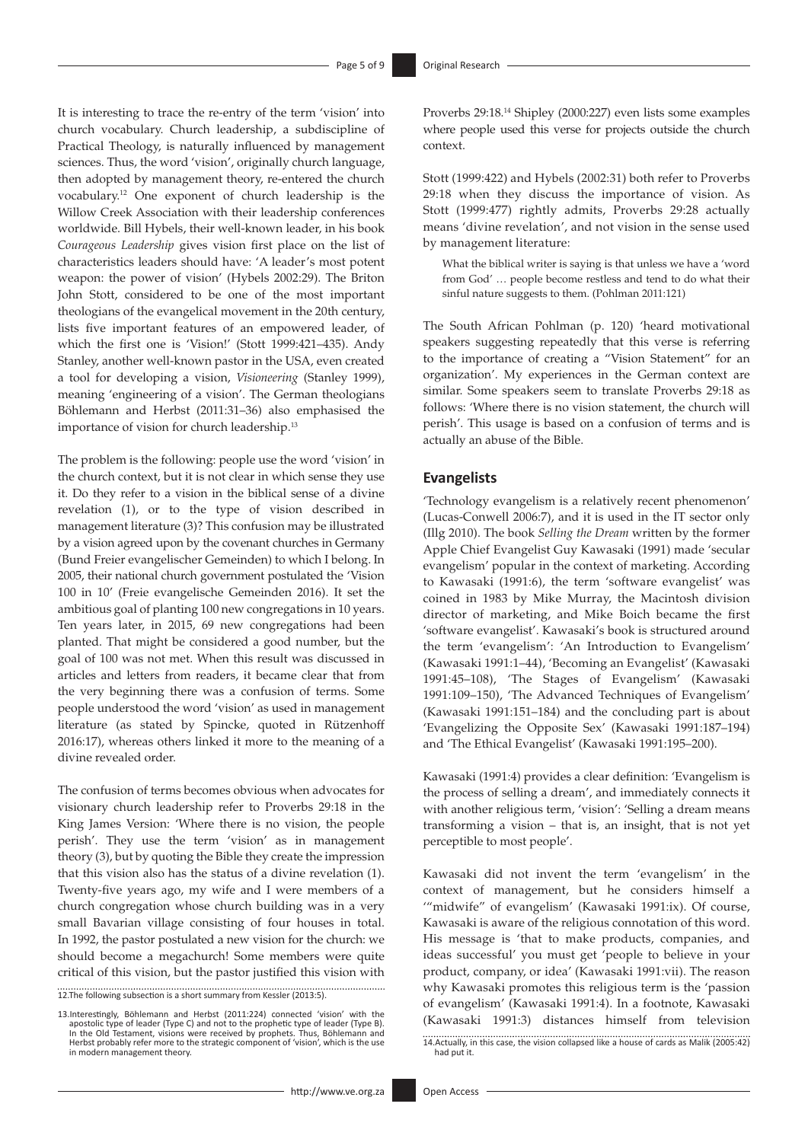It is interesting to trace the re-entry of the term 'vision' into church vocabulary. Church leadership, a subdiscipline of Practical Theology, is naturally influenced by management sciences. Thus, the word 'vision', originally church language, then adopted by management theory, re-entered the church vocabulary.12 One exponent of church leadership is the Willow Creek Association with their leadership conferences worldwide. Bill Hybels, their well-known leader, in his book *Courageous Leadership* gives vision first place on the list of characteristics leaders should have: 'A leader's most potent weapon: the power of vision' (Hybels 2002:29). The Briton John Stott, considered to be one of the most important theologians of the evangelical movement in the 20th century, lists five important features of an empowered leader, of which the first one is 'Vision!' (Stott 1999:421–435). Andy Stanley, another well-known pastor in the USA, even created a tool for developing a vision, *Visioneering* (Stanley 1999), meaning 'engineering of a vision'. The German theologians Böhlemann and Herbst (2011:31–36) also emphasised the importance of vision for church leadership.13

The problem is the following: people use the word 'vision' in the church context, but it is not clear in which sense they use it. Do they refer to a vision in the biblical sense of a divine revelation (1), or to the type of vision described in management literature (3)? This confusion may be illustrated by a vision agreed upon by the covenant churches in Germany (Bund Freier evangelischer Gemeinden) to which I belong. In 2005, their national church government postulated the 'Vision 100 in 10' (Freie evangelische Gemeinden 2016). It set the ambitious goal of planting 100 new congregations in 10 years. Ten years later, in 2015, 69 new congregations had been planted. That might be considered a good number, but the goal of 100 was not met. When this result was discussed in articles and letters from readers, it became clear that from the very beginning there was a confusion of terms. Some people understood the word 'vision' as used in management literature (as stated by Spincke, quoted in Rützenhoff 2016:17), whereas others linked it more to the meaning of a divine revealed order.

The confusion of terms becomes obvious when advocates for visionary church leadership refer to Proverbs 29:18 in the King James Version: 'Where there is no vision, the people perish'. They use the term 'vision' as in management theory (3), but by quoting the Bible they create the impression that this vision also has the status of a divine revelation (1). Twenty-five years ago, my wife and I were members of a church congregation whose church building was in a very small Bavarian village consisting of four houses in total. In 1992, the pastor postulated a new vision for the church: we should become a megachurch! Some members were quite critical of this vision, but the pastor justified this vision with

12.The following subsection is a short summary from Kessler (2013:5).

13.Interestingly, Böhlemann and Herbst (2011:224) connected 'vision' with the<br>postolic type of leader (Type C) and not to the prophetic type of leader (Type B).<br>In the Old Testament, visions were received by prophets. Thus Herbst probably refer more to the strategic component of 'vision', which is the use in modern management theory.

Proverbs 29:18.14 Shipley (2000:227) even lists some examples where people used this verse for projects outside the church context.

Stott (1999:422) and Hybels (2002:31) both refer to Proverbs 29:18 when they discuss the importance of vision. As Stott (1999:477) rightly admits, Proverbs 29:28 actually means 'divine revelation', and not vision in the sense used by management literature:

What the biblical writer is saying is that unless we have a 'word from God' … people become restless and tend to do what their sinful nature suggests to them. (Pohlman 2011:121)

The South African Pohlman (p. 120) 'heard motivational speakers suggesting repeatedly that this verse is referring to the importance of creating a "Vision Statement" for an organization'. My experiences in the German context are similar. Some speakers seem to translate Proverbs 29:18 as follows: 'Where there is no vision statement, the church will perish'. This usage is based on a confusion of terms and is actually an abuse of the Bible.

#### **Evangelists**

'Technology evangelism is a relatively recent phenomenon' (Lucas-Conwell 2006:7), and it is used in the IT sector only (Illg 2010). The book *Selling the Dream* written by the former Apple Chief Evangelist Guy Kawasaki (1991) made 'secular evangelism' popular in the context of marketing. According to Kawasaki (1991:6), the term 'software evangelist' was coined in 1983 by Mike Murray, the Macintosh division director of marketing, and Mike Boich became the first 'software evangelist'. Kawasaki's book is structured around the term 'evangelism': 'An Introduction to Evangelism' (Kawasaki 1991:1–44), 'Becoming an Evangelist' (Kawasaki 1991:45–108), 'The Stages of Evangelism' (Kawasaki 1991:109–150), 'The Advanced Techniques of Evangelism' (Kawasaki 1991:151–184) and the concluding part is about 'Evangelizing the Opposite Sex' (Kawasaki 1991:187–194) and 'The Ethical Evangelist' (Kawasaki 1991:195–200).

Kawasaki (1991:4) provides a clear definition: 'Evangelism is the process of selling a dream', and immediately connects it with another religious term, 'vision': 'Selling a dream means transforming a vision – that is, an insight, that is not yet perceptible to most people'.

Kawasaki did not invent the term 'evangelism' in the context of management, but he considers himself a '"midwife" of evangelism' (Kawasaki 1991:ix). Of course, Kawasaki is aware of the religious connotation of this word. His message is 'that to make products, companies, and ideas successful' you must get 'people to believe in your product, company, or idea' (Kawasaki 1991:vii). The reason why Kawasaki promotes this religious term is the 'passion of evangelism' (Kawasaki 1991:4). In a footnote, Kawasaki (Kawasaki 1991:3) distances himself from television

<sup>14.</sup>Actually, in this case, the vision collapsed like a house of cards as Malik (2005:42) had put it.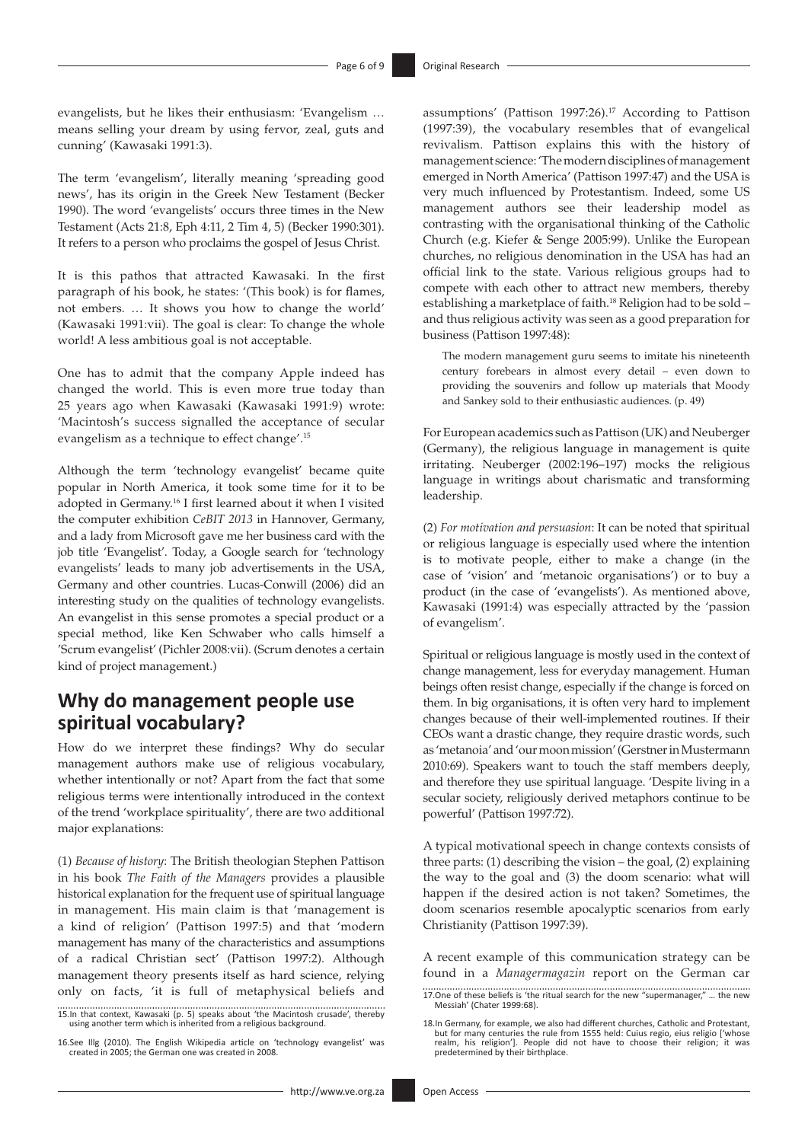evangelists, but he likes their enthusiasm: 'Evangelism … means selling your dream by using fervor, zeal, guts and cunning' (Kawasaki 1991:3).

The term 'evangelism', literally meaning 'spreading good news', has its origin in the Greek New Testament (Becker 1990). The word 'evangelists' occurs three times in the New Testament (Acts 21:8, Eph 4:11, 2 Tim 4, 5) (Becker 1990:301). It refers to a person who proclaims the gospel of Jesus Christ.

It is this pathos that attracted Kawasaki. In the first paragraph of his book, he states: '(This book) is for flames, not embers. … It shows you how to change the world' (Kawasaki 1991:vii). The goal is clear: To change the whole world! A less ambitious goal is not acceptable.

One has to admit that the company Apple indeed has changed the world. This is even more true today than 25 years ago when Kawasaki (Kawasaki 1991:9) wrote: 'Macintosh's success signalled the acceptance of secular evangelism as a technique to effect change'.15

Although the term 'technology evangelist' became quite popular in North America, it took some time for it to be adopted in Germany.16 I first learned about it when I visited the computer exhibition *CeBIT 2013* in Hannover, Germany, and a lady from Microsoft gave me her business card with the job title 'Evangelist'. Today, a Google search for 'technology evangelists' leads to many job advertisements in the USA, Germany and other countries. Lucas-Conwill (2006) did an interesting study on the qualities of technology evangelists. An evangelist in this sense promotes a special product or a special method, like Ken Schwaber who calls himself a 'Scrum evangelist' (Pichler 2008:vii). (Scrum denotes a certain kind of project management.)

# **Why do management people use spiritual vocabulary?**

How do we interpret these findings? Why do secular management authors make use of religious vocabulary, whether intentionally or not? Apart from the fact that some religious terms were intentionally introduced in the context of the trend 'workplace spirituality', there are two additional major explanations:

(1) *Because of history*: The British theologian Stephen Pattison in his book *The Faith of the Managers* provides a plausible historical explanation for the frequent use of spiritual language in management. His main claim is that 'management is a kind of religion' (Pattison 1997:5) and that 'modern management has many of the characteristics and assumptions of a radical Christian sect' (Pattison 1997:2). Although management theory presents itself as hard science, relying only on facts, 'it is full of metaphysical beliefs and

15.In that context, Kawasaki (p. 5) speaks about 'the Macintosh crusade', thereby using another term which is inherited from a religious background.

16.See Illg (2010). The English Wikipedia article on 'technology evangelist' was created in 2005; the German one was created in 2008.

assumptions' (Pattison 1997:26).<sup>17</sup> According to Pattison (1997:39), the vocabulary resembles that of evangelical revivalism. Pattison explains this with the history of management science: 'The modern disciplines of management emerged in North America' (Pattison 1997:47) and the USA is very much influenced by Protestantism. Indeed, some US management authors see their leadership model as contrasting with the organisational thinking of the Catholic Church (e.g. Kiefer & Senge 2005:99). Unlike the European churches, no religious denomination in the USA has had an official link to the state. Various religious groups had to compete with each other to attract new members, thereby establishing a marketplace of faith.<sup>18</sup> Religion had to be sold and thus religious activity was seen as a good preparation for business (Pattison 1997:48):

The modern management guru seems to imitate his nineteenth century forebears in almost every detail – even down to providing the souvenirs and follow up materials that Moody and Sankey sold to their enthusiastic audiences. (p. 49)

For European academics such as Pattison (UK) and Neuberger (Germany), the religious language in management is quite irritating. Neuberger (2002:196–197) mocks the religious language in writings about charismatic and transforming leadership.

(2) *For motivation and persuasion*: It can be noted that spiritual or religious language is especially used where the intention is to motivate people, either to make a change (in the case of 'vision' and 'metanoic organisations') or to buy a product (in the case of 'evangelists'). As mentioned above, Kawasaki (1991:4) was especially attracted by the 'passion of evangelism'.

Spiritual or religious language is mostly used in the context of change management, less for everyday management. Human beings often resist change, especially if the change is forced on them. In big organisations, it is often very hard to implement changes because of their well-implemented routines. If their CEOs want a drastic change, they require drastic words, such as 'metanoia' and 'our moon mission' (Gerstner in Mustermann 2010:69). Speakers want to touch the staff members deeply, and therefore they use spiritual language. 'Despite living in a secular society, religiously derived metaphors continue to be powerful' (Pattison 1997:72).

A typical motivational speech in change contexts consists of three parts: (1) describing the vision – the goal, (2) explaining the way to the goal and (3) the doom scenario: what will happen if the desired action is not taken? Sometimes, the doom scenarios resemble apocalyptic scenarios from early Christianity (Pattison 1997:39).

A recent example of this communication strategy can be found in a *Managermagazin* report on the German car

17.One of these beliefs is 'the ritual search for the new "supermanager," … the new Messiah' (Chater 1999:68).

<sup>18.</sup>In Germany, for example, we also had different churches, Catholic and Protestant, but for many centuries the rule from 1555 held: Cuius regio, eius religio ['whose realm, his religion']. People did not have to choose their religion; it was predetermined by their birthplace.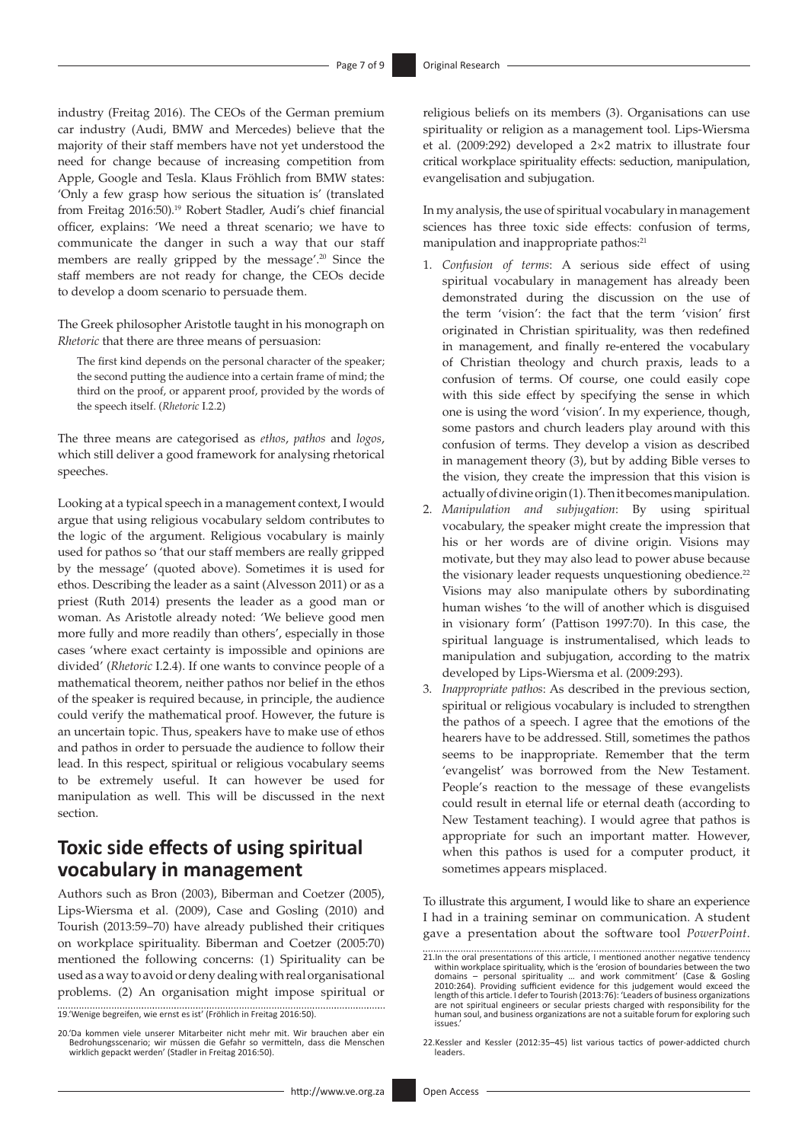industry (Freitag 2016). The CEOs of the German premium car industry (Audi, BMW and Mercedes) believe that the majority of their staff members have not yet understood the need for change because of increasing competition from Apple, Google and Tesla. Klaus Fröhlich from BMW states: 'Only a few grasp how serious the situation is' (translated from Freitag 2016:50).<sup>19</sup> Robert Stadler, Audi's chief financial officer, explains: 'We need a threat scenario; we have to communicate the danger in such a way that our staff members are really gripped by the message'.<sup>20</sup> Since the staff members are not ready for change, the CEOs decide to develop a doom scenario to persuade them.

The Greek philosopher Aristotle taught in his monograph on *Rhetoric* that there are three means of persuasion:

The first kind depends on the personal character of the speaker; the second putting the audience into a certain frame of mind; the third on the proof, or apparent proof, provided by the words of the speech itself. (*Rhetoric* I.2.2)

The three means are categorised as *ethos*, *pathos* and *logos*, which still deliver a good framework for analysing rhetorical speeches.

Looking at a typical speech in a management context, I would argue that using religious vocabulary seldom contributes to the logic of the argument. Religious vocabulary is mainly used for pathos so 'that our staff members are really gripped by the message' (quoted above). Sometimes it is used for ethos. Describing the leader as a saint (Alvesson 2011) or as a priest (Ruth 2014) presents the leader as a good man or woman. As Aristotle already noted: 'We believe good men more fully and more readily than others', especially in those cases 'where exact certainty is impossible and opinions are divided' (*Rhetoric* I.2.4). If one wants to convince people of a mathematical theorem, neither pathos nor belief in the ethos of the speaker is required because, in principle, the audience could verify the mathematical proof. However, the future is an uncertain topic. Thus, speakers have to make use of ethos and pathos in order to persuade the audience to follow their lead. In this respect, spiritual or religious vocabulary seems to be extremely useful. It can however be used for manipulation as well. This will be discussed in the next section.

# **Toxic side effects of using spiritual vocabulary in management**

Authors such as Bron (2003), Biberman and Coetzer (2005), Lips-Wiersma et al. (2009), Case and Gosling (2010) and Tourish (2013:59–70) have already published their critiques on workplace spirituality. Biberman and Coetzer (2005:70) mentioned the following concerns: (1) Spirituality can be used as a way to avoid or deny dealing with real organisational problems. (2) An organisation might impose spiritual or

19.'Wenige begreifen, wie ernst es ist' (Fröhlich in Freitag 2016:50).

religious beliefs on its members (3). Organisations can use spirituality or religion as a management tool. Lips-Wiersma et al. (2009:292) developed a 2×2 matrix to illustrate four critical workplace spirituality effects: seduction, manipulation, evangelisation and subjugation.

In my analysis, the use of spiritual vocabulary in management sciences has three toxic side effects: confusion of terms, manipulation and inappropriate pathos:<sup>21</sup>

- 1. *Confusion of terms*: A serious side effect of using spiritual vocabulary in management has already been demonstrated during the discussion on the use of the term 'vision': the fact that the term 'vision' first originated in Christian spirituality, was then redefined in management, and finally re-entered the vocabulary of Christian theology and church praxis, leads to a confusion of terms. Of course, one could easily cope with this side effect by specifying the sense in which one is using the word 'vision'. In my experience, though, some pastors and church leaders play around with this confusion of terms. They develop a vision as described in management theory (3), but by adding Bible verses to the vision, they create the impression that this vision is actually of divine origin (1). Then it becomes manipulation.
- 2. *Manipulation and subjugation*: By using spiritual vocabulary, the speaker might create the impression that his or her words are of divine origin. Visions may motivate, but they may also lead to power abuse because the visionary leader requests unquestioning obedience.<sup>22</sup> Visions may also manipulate others by subordinating human wishes 'to the will of another which is disguised in visionary form' (Pattison 1997:70). In this case, the spiritual language is instrumentalised, which leads to manipulation and subjugation, according to the matrix developed by Lips-Wiersma et al. (2009:293).
- 3. *Inappropriate pathos*: As described in the previous section, spiritual or religious vocabulary is included to strengthen the pathos of a speech. I agree that the emotions of the hearers have to be addressed. Still, sometimes the pathos seems to be inappropriate. Remember that the term 'evangelist' was borrowed from the New Testament. People's reaction to the message of these evangelists could result in eternal life or eternal death (according to New Testament teaching). I would agree that pathos is appropriate for such an important matter. However, when this pathos is used for a computer product, it sometimes appears misplaced.

To illustrate this argument, I would like to share an experience I had in a training seminar on communication. A student gave a presentation about the software tool *PowerPoint*.

<sup>20.&#</sup>x27;Da kommen viele unserer Mitarbeiter nicht mehr mit. Wir brauchen aber ein Bedrohungsscenario; wir müssen die Gefahr so vermitteln, dass die Menschen wirklich gepackt werden' (Stadler in Freitag 2016:50).

<sup>21.</sup>In the oral presentations of this article, I mentioned another negative tendency<br>within workplace spirituality, which is the 'erosion of boundaries between the two<br>domains – personal spirituality ... and work committme human soul, and business organizations are not a suitable forum for exploring such issues.'

<sup>22.</sup>Kessler and Kessler (2012:35–45) list various tactics of power-addicted church leaders.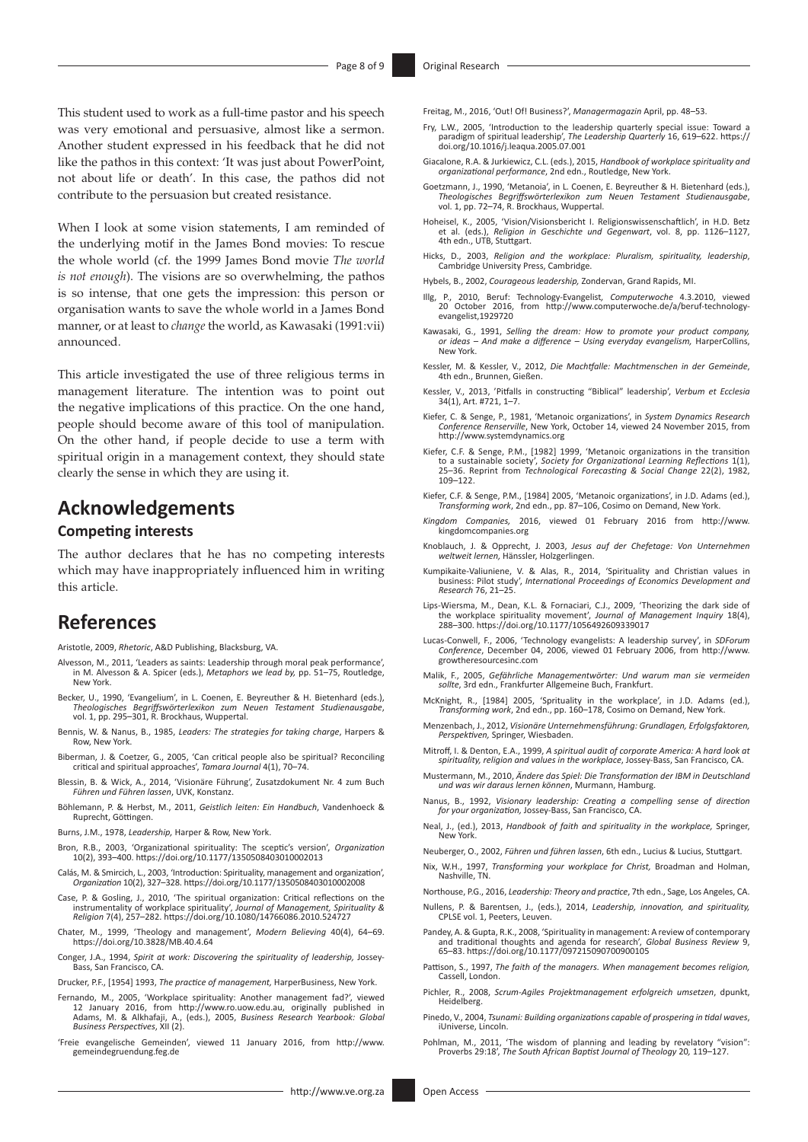This student used to work as a full-time pastor and his speech was very emotional and persuasive, almost like a sermon. Another student expressed in his feedback that he did not like the pathos in this context: 'It was just about PowerPoint, not about life or death'. In this case, the pathos did not contribute to the persuasion but created resistance.

When I look at some vision statements, I am reminded of the underlying motif in the James Bond movies: To rescue the whole world (cf. the 1999 James Bond movie *The world is not enough*). The visions are so overwhelming, the pathos is so intense, that one gets the impression: this person or organisation wants to save the whole world in a James Bond manner, or at least to *change* the world, as Kawasaki (1991:vii) announced.

This article investigated the use of three religious terms in management literature. The intention was to point out the negative implications of this practice. On the one hand, people should become aware of this tool of manipulation. On the other hand, if people decide to use a term with spiritual origin in a management context, they should state clearly the sense in which they are using it.

### **Acknowledgements**

### **Competing interests**

The author declares that he has no competing interests which may have inappropriately influenced him in writing this article.

### **References**

Aristotle, 2009, *Rhetoric*, A&D Publishing, Blacksburg, VA.

- Alvesson, M., 2011, 'Leaders as saints: Leadership through moral peak performance', in M. Alvesson & A. Spicer (eds.), *Metaphors we lead by,* pp. 51–75, Routledge, New York.
- Becker, U., 1990, 'Evangelium', in L. Coenen, E. Beyreuther & H. Bietenhard (eds.), *Theologisches Begriffswörterlexikon zum Neuen Testament Studienausgabe*, vol. 1, pp. 295–301, R. Brockhaus, Wuppertal.
- Bennis, W. & Nanus, B., 1985, *Leaders: The strategies for taking charge*, Harpers & Row, New York.
- Biberman, J. & Coetzer, G., 2005, 'Can critical people also be spiritual? Reconciling critical and spiritual approaches', *Tamara Journal* 4(1), 70–74.
- Blessin, B. & Wick, A., 2014, 'Visionäre Führung', Zusatzdokument Nr. 4 zum Buch *Führen und Führen lassen*, UVK, Konstanz.
- Böhlemann, P. & Herbst, M., 2011, *Geistlich leiten: Ein Handbuch*, Vandenhoeck & Ruprecht, Göttingen.
- Burns, J.M., 1978, *Leadership,* Harper & Row, New York.
- Bron, R.B., 2003, 'Organizational spirituality: The sceptic's version', *Organization* 10(2), 393–400.<https://doi.org/10.1177/1350508403010002013>
- Calás, M. & Smircich, L., 2003, 'Introduction: Spirituality, management and organization', *Organization* 10(2), 327–328. <https://doi.org/10.1177/1350508403010002008>
- Case, P. & Gosling, J., 2010, 'The spiritual organization: Critical reflections on the instrumentality of workplace spirituality', *Journal of Management, Spirituality & Religion* 7(4), 257–282. <https://doi.org/10.1080/14766086.2010.524727>
- Chater, M., 1999, 'Theology and management', *Modern Believing* 40(4), 64–69. <https://doi.org/10.3828/MB.40.4.64>
- Conger, J.A., 1994, *Spirit at work: Discovering the spirituality of leadership,* Jossey-Bass, San Francisco, CA.

Drucker, P.F., [1954] 1993, *The practice of management,* HarperBusiness, New York.

- Fernando, M., 2005, 'Workplace spirituality: Another management fad?', viewed 12 January 2016, from <http://www.ro.uow.edu.au>, originally published in Adams, M. & Alkhafaji, A., (eds.), 2005, *Business Research Yearbook: Global Business Perspectives*, XII (2).
- 'Freie evangelische Gemeinden', viewed 11 January 2016, from [http://www.](http://www.gemeindegruendung.feg.de) [gemeindegruendung.feg.de](http://www.gemeindegruendung.feg.de)

Freitag, M., 2016, 'Out! Of! Business?', *Managermagazin* April, pp. 48–53.

- Fry, L.W., 2005, 'Introduction to the leadership quarterly special issue: Toward a paradigm of spiritual leadership', *The Leadership Quarterly* 16, 619–622. [https://](https://doi.org/10.1016/j.leaqua.2005.07.001) [doi.org/10.1016/j.leaqua.2005.07.001](https://doi.org/10.1016/j.leaqua.2005.07.001)
- Giacalone, R.A. & Jurkiewicz, C.L. (eds.), 2015, *Handbook of workplace spirituality and organizational performance*, 2nd edn., Routledge, New York.
- Goetzmann, J., 1990, 'Metanoia', in L. Coenen, E. Beyreuther & H. Bietenhard (eds.), *Theologisches Begriffswörterlexikon zum Neuen Testament Studienausgabe*, vol. 1, pp. 72–74, R. Brockhaus, Wuppertal.
- Hoheisel, K., 2005, 'Vision/Visionsbericht I. Religionswissenschaftlich', in H.D. Betz et al. (eds.), *Religion in Geschichte und Gegenwart*, vol. 8, pp. 1126–1127, 4th edn., UTB, Stuttgart.
- Hicks, D., 2003, *Religion and the workplace: Pluralism, spirituality, leadership*, Cambridge University Press, Cambridge.
- Hybels, B., 2002, *Courageous leadership,* Zondervan, Grand Rapids, MI.
- Illg, P., 2010, Beruf: Technology-Evangelist*, Computerwoche* 4.3.2010, viewed 20 October 2016, from [http://www.computerwoche.de/a/beruf-technology-](http://www.computerwoche.de/a/beruf-technology-evangelist,1929720)[evangelist,1929720](http://www.computerwoche.de/a/beruf-technology-evangelist,1929720)
- Kawasaki, G., 1991, *Selling the dream: How to promote your product company, or ideas – And make a difference – Using everyday evangelism,* HarperCollins, New York.
- Kessler, M. & Kessler, V., 2012, *Die Machtfalle: Machtmenschen in der Gemeinde*, 4th edn., Brunnen, Gießen.
- Kessler, V., 2013, 'Pitfalls in constructing "Biblical" leadership', *Verbum et Ecclesia* 34(1), Art. #721, 1–7.
- Kiefer, C. & Senge, P., 1981, 'Metanoic organizations', in *System Dynamics Research Conference Renserville*, New York, October 14, viewed 24 November 2015, from <http://www.systemdynamics.org>
- Kiefer, C.F. & Senge, P.M., [1982] 1999, 'Metanoic organizations in the transition to a sustainable society', *Society for Organizational Learning Reflections* 1(1), 25–36. Reprint from *Technological Forecasting & Social Change* 22(2), 1982, 109–122.
- Kiefer, C.F. & Senge, P.M., [1984] 2005, 'Metanoic organizations', in J.D. Adams (ed.), *Transforming work*, 2nd edn., pp. 87–106, Cosimo on Demand, New York.
- *Kingdom Companies,* 2016, viewed 01 February 2016 from [http://www.](http://www.kingdomcompanies.org) [kingdomcompanies.org](http://www.kingdomcompanies.org)
- Knoblauch, J. & Opprecht, J. 2003, *Jesus auf der Chefetage: Von Unternehmen weltweit lernen,* Hänssler, Holzgerlingen.
- Kumpikaite-Valiuniene, V. & Alas, R., 2014, 'Spirituality and Christian values in business: Pilot study', *International Proceedings of Economics Development and Research* 76, 21–25.
- Lips-Wiersma, M., Dean, K.L. & Fornaciari, C.J., 2009, 'Theorizing the dark side of the workplace spirituality movement', *Journal of Management Inquiry* 18(4), 288–300.<https://doi.org/10.1177/1056492609339017>
- Lucas-Conwell, F., 2006, 'Technology evangelists: A leadership survey', in *SDForum Conference*, December 04, 2006, viewed 01 February 2006, from [http://www.](http://www.growtheresourcesinc.com) [growtheresourcesinc.com](http://www.growtheresourcesinc.com)
- Malik, F., 2005, *Gefährliche Managementwörter: Und warum man sie vermeiden sollte*, 3rd edn., Frankfurter Allgemeine Buch, Frankfurt.
- McKnight, R., [1984] 2005, 'Sprituality in the workplace', in J.D. Adams (ed.), *Transforming work*, 2nd edn., pp. 160–178, Cosimo on Demand, New York.
- Menzenbach, J., 2012, *Visionäre Unternehmensführung: Grundlagen, Erfolgsfaktoren, Perspektiven,* Springer, Wiesbaden.
- Mitroff, I. & Denton, E.A., 1999, *A spiritual audit of corporate America: A hard look at spirituality, religion and values in the workplace*, Jossey-Bass, San Francisco, CA.
- Mustermann, M., 2010, *Ändere das Spiel: Die Transformation der IBM in Deutschland und was wir daraus lernen können*, Murmann, Hamburg.
- Nanus, B., 1992, *Visionary leadership: Creating a compelling sense of direction for your organization,* Jossey-Bass, San Francisco, CA.
- Neal, J., (ed.), 2013, *Handbook of faith and spirituality in the workplace,* Springer, New York.
- Neuberger, O., 2002, *Führen und führen lassen*, 6th edn., Lucius & Lucius, Stuttgart.
- Nix, W.H., 1997, *Transforming your workplace for Christ,* Broadman and Holman, Nashville, TN.
- Northouse, P.G., 2016, *Leadership: Theory and practice*, 7th edn., Sage, Los Angeles, CA.
- Nullens, P. & Barentsen, J., (eds.), 2014, *Leadership, innovation, and spirituality,* CPLSE vol. 1, Peeters, Leuven.
- Pandey, A. & Gupta, R.K., 2008, 'Spirituality in management: A review of contemporary and traditional thoughts and agenda for research', *Global Business Review* 9, 65–83.<https://doi.org/10.1177/097215090700900105>
- Pattison, S., 1997, *The faith of the managers. When management becomes religion,* Cassell, London.
- Pichler, R., 2008, *Scrum-Agiles Projektmanagement erfolgreich umsetzen*, dpunkt, Heidelberg.
- Pinedo, V., 2004, *Tsunami: Building organizations capable of prospering in tidal waves*, iUniverse, Lincoln.
- Pohlman, M., 2011, 'The wisdom of planning and leading by revelatory "vision": Proverbs 29:18', *The South African Baptist Journal of Theology* 20*,* 119–127.